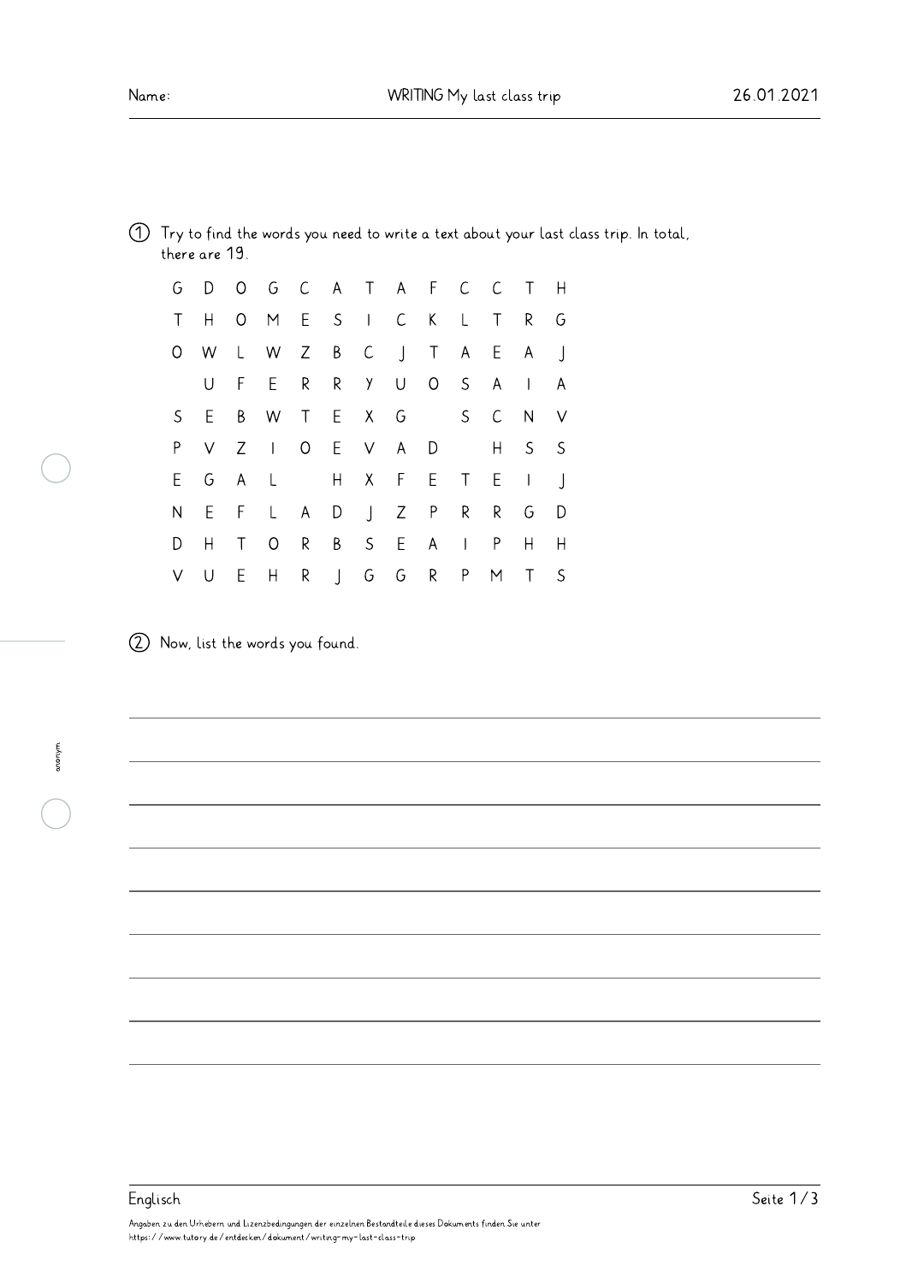| 1 Try to find the words you need to write a text about your last class trip. In total, |  |  |  |  |  |  |  |  |
|----------------------------------------------------------------------------------------|--|--|--|--|--|--|--|--|
| there are 19.                                                                          |  |  |  |  |  |  |  |  |

|        |     | G D O G C A T A F C C T H |  |  |  |       |              |
|--------|-----|---------------------------|--|--|--|-------|--------------|
| $\top$ | H   | OMESICKLTR                |  |  |  |       | G            |
|        |     | O W L W Z B C J T A E A J |  |  |  |       |              |
|        | U   | F E R R Y U O S A I       |  |  |  |       | $\mathsf{A}$ |
|        | S E | B W T E X G S C N V       |  |  |  |       |              |
| P      |     | V Z I O E V A D           |  |  |  | H S S |              |
|        |     | EGAL HXFETEIJ             |  |  |  |       |              |
| N      |     | E F L A D J Z P R R G     |  |  |  |       | D            |
| D      | Η   | T O R B S E A I P H H     |  |  |  |       |              |
| V U    |     | E H R J G G R P           |  |  |  | M T S |              |

2 Now, list the words you found.

## Angaben zu den Urhebern und Lizenzbedingungen der einzelnen Bestandteile dieses Dokuments finden Sie unter https://www.tutory.de/entdecken/dokument/writing-my-last-class-trip Englisch Seite 1/3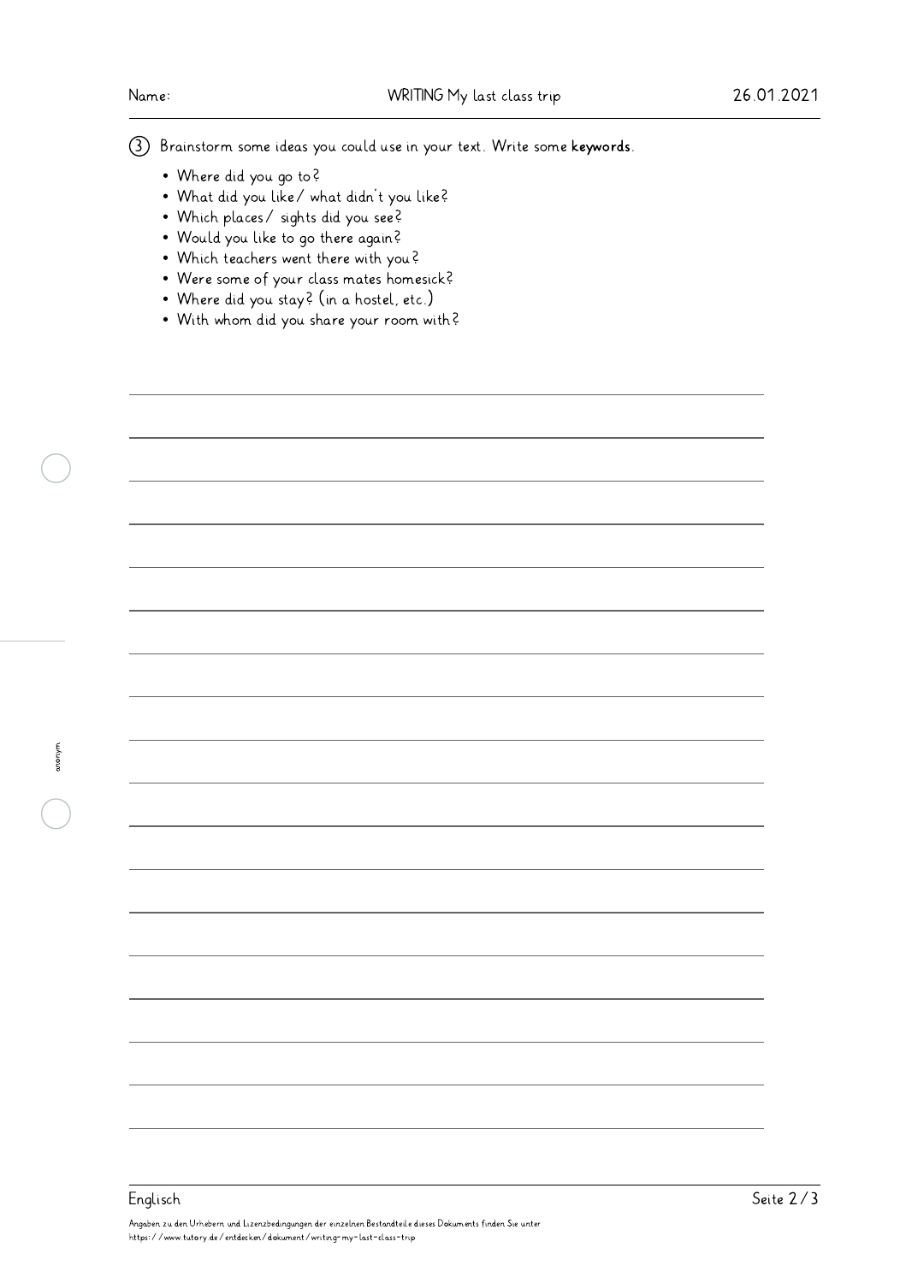3 Brainstorm some ideas you could use in your text. Write some keywords.

- Where did you go to?
- What did you like/ what didn't you like?
- Which places/ sights did you see?
- Would you like to go there again?
- Which teachers went there with you?
- Were some of your class mates homesick?
- Where did you stay? (in a hostel, etc.)
- With whom did you share your room with?

anonym